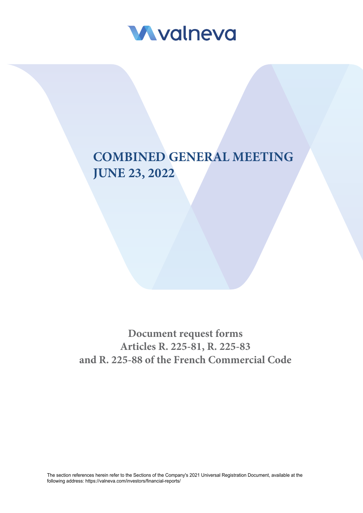

# **COMBINED GENERAL MEETING JUNE 23, 2022**

**Document request forms Articles R. 225-81, R. 225-83 and R. 225-88 of the French Commercial Code**

The section references herein refer to the Sections of the Company's 2021 Universal Registration Document, available at the following address: <https://valneva.com/investors/financial-reports/>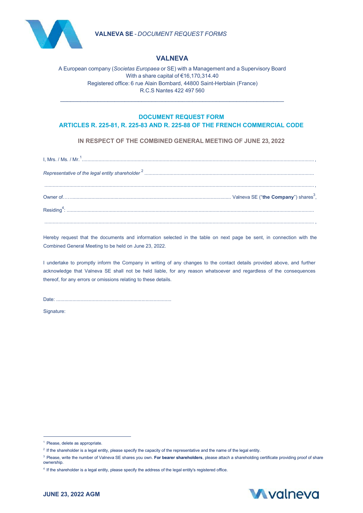



## **VALNEVA**

A European company (*Societas Europaea* or SE) with a Management and a Supervisory Board With a share capital of €16,170,314.40 Registered office: 6 rue Alain Bombard, 44800 Saint-Herblain (France) R.C.S Nantes 422 497 560

\_\_\_\_\_\_\_\_\_\_\_\_\_\_\_\_\_\_\_\_\_\_\_\_\_\_\_\_\_\_\_\_\_\_\_\_\_\_\_\_\_\_\_\_\_\_\_\_\_\_\_\_\_\_\_\_\_\_\_\_\_\_\_\_\_\_

# **DOCUMENT REQUEST FORM**

**ARTICLES R. 225-81, R. 225-83 AND R. 225-88 OF THE FRENCH COMMERCIAL CODE**

**IN RESPECT OF THE COMBINED GENERAL MEETING OF JUNE 23, 2022** 

Hereby request that the documents and information selected in the table on next page be sent, in connection with the Combined General Meeting to be held on June 23, 2022.

I undertake to promptly inform the Company in writing of any changes to the contact details provided above, and further acknowledge that Valneva SE shall not be held liable, for any reason whatsoever and regardless of the consequences thereof, for any errors or omissions relating to these details.

Date: .....................................................................................

Signature:

<sup>&</sup>lt;sup>1</sup> Please, delete as appropriate.

<sup>&</sup>lt;sup>2</sup> If the shareholder is a legal entity, please specify the capacity of the representative and the name of the legal entity.

<sup>3</sup> Please, write the number of Valneva SE shares you own. **For bearer shareholders**, please attach a shareholding certificate providing proof of share ownership.

<sup>&</sup>lt;sup>4</sup> If the shareholder is a legal entity, please specify the address of the legal entity's registered office.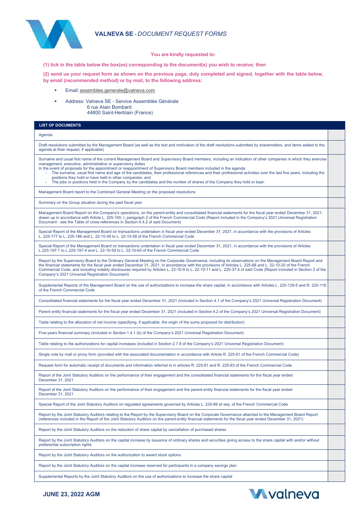### **VALNEVA SE** - *DOCUMENT REQUEST FORMS*



#### **You are kindly requested to:**

**(1) tick in the table below the box(es) corresponding to the document(s) you wish to receive; then**

**(2) send us your request form as shown on the previous page, duly completed and signed, together with the table below, by email (recommended method) or by mail, to the following address:**

- Email[: assemblee.generale@valneva.com](mailto:assemblee.generale@valneva.com)
- Address: Valneva SE Service Assemblée Générale 6 rue Alain Bombard 44800 Saint-Herblain (France)

# **LIST OF DOCUMENTS**  Agenda Draft resolutions submitted by the Management Board (as well as the text and motivation of the draft resolutions submitted by shareholders, and items added to the agenda at their request, if applicable) Surname and usual first name of the current Management Board and Supervisory Board members, including an indication of other companies in which they exercise management, executive, administrative or supervisory duties In the event of proposals for the appointment or reappointment of Supervisory Board members included in the agenda:<br>The surname, usual first name and age of the candidates, their professional references and their professio positions they hold or have held in other companies; and The jobs or positions held in the Company by the candidates and the number of shares of the Company they hold or bear. Management Board report to the Combined General Meeting on the proposed resolutions Summary on the Group situation during the past fiscal year Management Board Report on the Company's operations, on the parent-entity and consolidated financial statements for the fiscal year ended December 31, 2021, drawn up in accordance with Article L. 225-100, I, paragraph 2 of the French Commercial Code (Report included in the Company's 2021 Universal Registration<br>Document - see the Table of cross-references in Section 6.4.2 of sa Special Report of the Management Board on transactions undertaken in fiscal year ended December 31, 2021, in accordance with the provisions of Articles L. 225-177 to L. 225-186 and L. 22-10-56 to L. 22-10-58 of the French Commercial Code Special Report of the Management Board on transactions undertaken in fiscal year ended December 31, 2021, in accordance with the provisions of Articles L.225-197-1 to L.225-197-4 and L. 22-10-59 to L. 22-10-60 of the French Commercial Code Report by the Supervisory Board to the Ordinary General Meeting on the Corporate Governance, including its observations on the Management Board Report and the financial statements for the fiscal year ended December 31, 2021, in accordance with the provisions of Articles L. 225-68 and L. 22-10-20 of the French Commercial Code, and including notably disclosures required by Articles L. 22-10-9 to L. 22-10-11 and L. 225-37-4 of said Code (Report included in Section 2 of the Company's 2021 Universal Registration Document) Supplemental Reports of the Management Board on the use of authorizations to increase the share capital, in accordance with Articles L. 225-129-5 and R. 225-116 of the French Commercial Code Consolidated financial statements for the fiscal year ended December 31, 2021 (included in Section 4.1 of the Company's 2021 Universal Registration Document) Parent entity financial statements for the fiscal year ended December 31, 2021 (included in Section 4.2 of the Company's 2021 Universal Registration Document) Table relating to the allocation of net income (specifying, if applicable, the origin of the sums proposed for distribution) Five-years financial summary (included in Section 1.4.1 (b) of the Company's 2021 Universal Registration Document) Table relating to the authorizations for capital increases (included in Section 2.7.8 of the Company's 2021 Universal Registration Document) Single vote by mail or proxy form (provided with the associated documentation in accordance with Article R. 225-81 of the French Commercial Code) Request form for automatic receipt of documents and information referred to in articles R. 225-81 and R. 225-83 of the French Commercial Code Report of the Joint Statutory Auditors on the performance of their engagement and the consolidated financial statements for the fiscal year ended December 31, 2021 Report of the Joint Statutory Auditors on the performance of their engagement and the parent-entity financial statements for the fiscal year ended December 31, 2021 Special Report of the Joint Statutory Auditors on regulated agreements governed by Articles L. 225-86 *et seq*. of the French Commercial Code Report by the Joint Statutory Auditors relating to the Report by the Supervisory Board on the Corporate Governance attached to the Management Board Report<br>(references included in the Report of the Joint Statutory Auditors Report by the Joint Statutory Auditors on the reduction of share capital by cancellation of purchased shares Report by the Joint Statutory Auditors on the capital increase by issuance of ordinary shares and securities giving access to the share capital with and/or without preferential subscription rights Report by the Joint Statutory Auditors on the authorization to award stock options

Report by the Joint Statutory Auditors on the capital increase reserved for participants in a company savings plan

Supplemental Reports by the Joint Statutory Auditors on the use of authorizations to increase the share capital